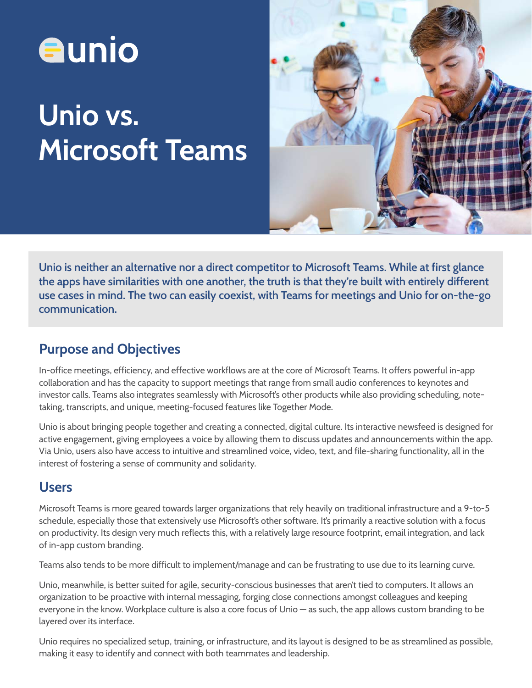

# Unio vs. Microsoft Teams



Unio is neither an alternative nor a direct competitor to Microsoft Teams. While at first glance the apps have similarities with one another, the truth is that they're built with entirely different use cases in mind. The two can easily coexist, with Teams for meetings and Unio for on-the-go communication.

# Purpose and Objectives

In-office meetings, efficiency, and effective workflows are at the core of Microsoft Teams. It offers powerful in-app collaboration and has the capacity to support meetings that range from small audio conferences to keynotes and investor calls. Teams also integrates seamlessly with Microsoft's other products while also providing scheduling, notetaking, transcripts, and unique, meeting-focused features like Together Mode.

Unio is about bringing people together and creating a connected, digital culture. Its interactive newsfeed is designed for active engagement, giving employees a voice by allowing them to discuss updates and announcements within the app. Via Unio, users also have access to intuitive and streamlined voice, video, text, and file-sharing functionality, all in the interest of fostering a sense of community and solidarity.

#### Users

Microsoft Teams is more geared towards larger organizations that rely heavily on traditional infrastructure and a 9-to-5 schedule, especially those that extensively use Microsoft's other software. It's primarily a reactive solution with a focus on productivity. Its design very much reflects this, with a relatively large resource footprint, email integration, and lack of in-app custom branding.

Teams also tends to be more difficult to implement/manage and can be frustrating to use due to its learning curve.

Unio, meanwhile, is better suited for agile, security-conscious businesses that aren't tied to computers. It allows an organization to be proactive with internal messaging, forging close connections amongst colleagues and keeping everyone in the know. Workplace culture is also a core focus of Unio — as such, the app allows custom branding to be layered over its interface.

Unio requires no specialized setup, training, or infrastructure, and its layout is designed to be as streamlined as possible, making it easy to identify and connect with both teammates and leadership.